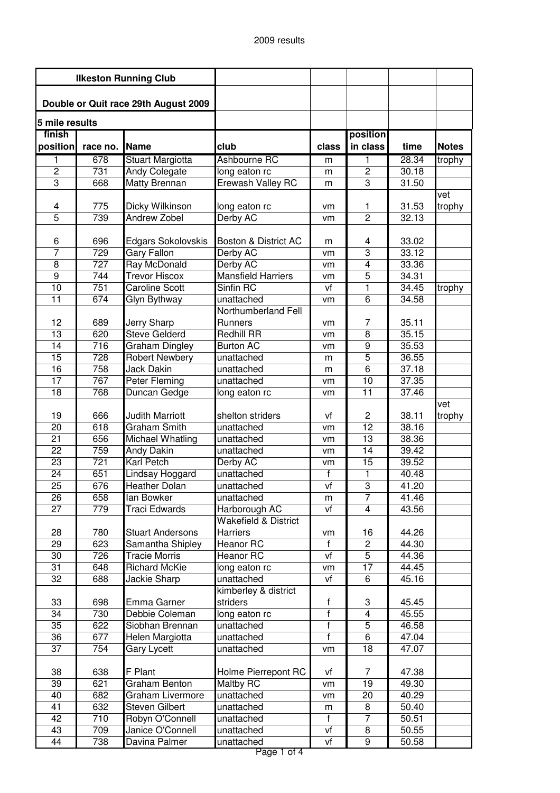| <b>Ilkeston Running Club</b>         |                  |                                            |                                                  |                    |                                  |                |              |
|--------------------------------------|------------------|--------------------------------------------|--------------------------------------------------|--------------------|----------------------------------|----------------|--------------|
|                                      |                  |                                            |                                                  |                    |                                  |                |              |
| Double or Quit race 29th August 2009 |                  |                                            |                                                  |                    |                                  |                |              |
| 5 mile results                       |                  |                                            |                                                  |                    |                                  |                |              |
| finish<br>position                   | race no.         | Name                                       | club                                             | class              | position<br>in class             | time           | <b>Notes</b> |
| 1                                    | 678              | Stuart Margiotta                           | Ashbourne RC                                     | m                  | 1                                | 28.34          | trophy       |
| $\overline{2}$                       | 731              | Andy Colegate                              | long eaton rc                                    | m                  | $\overline{c}$                   | 30.18          |              |
| $\overline{3}$                       | 668              | Matty Brennan                              | Erewash Valley RC                                | m                  | 3                                | 31.50          |              |
|                                      |                  |                                            |                                                  |                    |                                  |                | vet          |
| 4                                    | 775              | Dicky Wilkinson                            | long eaton rc                                    | vm                 | 1                                | 31.53          | trophy       |
| $\overline{5}$                       | 739              | <b>Andrew Zobel</b>                        | Derby AC                                         | vm                 | $\overline{2}$                   | 32.13          |              |
|                                      |                  |                                            |                                                  |                    |                                  |                |              |
| 6                                    | 696              | Edgars Sokolovskis                         | Boston & District AC                             | m                  | 4                                | 33.02          |              |
| 7                                    | 729              | <b>Gary Fallon</b>                         | Derby AC                                         | vm                 | $\overline{3}$                   | 33.12          |              |
| 8                                    | 727              | <b>Ray McDonald</b>                        | Derby AC                                         | vm                 | $\overline{4}$                   | 33.36          |              |
| $\overline{9}$                       | 744              | <b>Trevor Hiscox</b>                       | <b>Mansfield Harriers</b>                        | vm                 | 5                                | 34.31          |              |
| $\overline{10}$                      | 751              | <b>Caroline Scott</b>                      | Sinfin RC                                        | vf                 | 1                                | 34.45          | trophy       |
| $\overline{11}$                      | 674              | Glyn Bythway                               | unattached                                       | vm                 | 6                                | 34.58          |              |
|                                      |                  |                                            | Northumberland Fell                              |                    |                                  |                |              |
| 12<br>$\overline{13}$                | 689<br>620       | <b>Jerry Sharp</b><br><b>Steve Gelderd</b> | Runners<br><b>Redhill RR</b>                     | vm                 | $\overline{7}$<br>$\overline{8}$ | 35.11<br>35.15 |              |
| $\overline{14}$                      | $\overline{716}$ | <b>Graham Dingley</b>                      | <b>Burton AC</b>                                 | vm<br>vm           | $\boldsymbol{9}$                 | 35.53          |              |
| 15                                   | 728              | <b>Robert Newbery</b>                      | unattached                                       | m                  | $\overline{5}$                   | 36.55          |              |
| 16                                   | 758              | <b>Jack Dakin</b>                          | unattached                                       | m                  | 6                                | 37.18          |              |
| 17                                   | 767              | Peter Fleming                              | unattached                                       | vm                 | 10                               | 37.35          |              |
| $\overline{18}$                      | 768              | Duncan Gedge                               | long eaton rc                                    | vm                 | 11                               | 37.46          |              |
|                                      |                  |                                            |                                                  |                    |                                  |                | vet          |
| 19                                   | 666              | <b>Judith Marriott</b>                     | shelton striders                                 | vf                 | 2                                | 38.11          | trophy       |
| $\overline{20}$                      | 618              | <b>Graham Smith</b>                        | unattached                                       | vm                 | $\overline{12}$                  | 38.16          |              |
| 21                                   | 656              | <b>Michael Whatling</b>                    | unattached                                       | vm                 | 13                               | 38.36          |              |
| $\overline{22}$                      | 759              | Andy Dakin                                 | unattached                                       | vm                 | 14                               | 39.42          |              |
| $\overline{23}$                      | 721              | <b>Karl Petch</b>                          | Derby AC                                         | vm                 | $\overline{15}$                  | 39.52          |              |
| $\overline{24}$                      | 651              | Lindsay Hoggard                            | unattached                                       | f                  | 1                                | 40.48          |              |
| 25                                   | 676              | Heather Dolan                              | unattached                                       | $\overline{v}$     | $\overline{3}$                   | 41.20          |              |
| 26                                   | 658              | lan Bowker                                 | unattached                                       | m                  | 7                                | 41.46          |              |
| $\overline{27}$                      | 779              | Traci Edwards                              | Harborough AC<br><b>Wakefield &amp; District</b> | vf                 | $\overline{4}$                   | 43.56          |              |
| 28                                   | 780              | <b>Stuart Andersons</b>                    | Harriers                                         |                    | 16                               | 44.26          |              |
| $\overline{29}$                      | 623              | Samantha Shipley                           | Heanor RC                                        | vm<br>$\mathsf{f}$ | $\overline{c}$                   | 44.30          |              |
| 30                                   | 726              | <b>Tracie Morris</b>                       | Heanor RC                                        | vf                 | $\overline{5}$                   | 44.36          |              |
| $\overline{31}$                      | 648              | <b>Richard McKie</b>                       | long eaton rc                                    | vm                 | 17                               | 44.45          |              |
| 32                                   | 688              | Jackie Sharp                               | unattached                                       | vf                 | 6                                | 45.16          |              |
|                                      |                  |                                            | kimberley & district                             |                    |                                  |                |              |
| 33                                   | 698              | Emma Garner                                | striders                                         | f                  | 3                                | 45.45          |              |
| $\overline{34}$                      | 730              | Debbie Coleman                             | long eaton rc                                    | $\overline{f}$     | 4                                | 45.55          |              |
| 35                                   | 622              | Siobhan Brennan                            | unattached                                       | f                  | 5                                | 46.58          |              |
| $\overline{36}$                      | 677              | Helen Margiotta                            | unattached                                       | $\overline{f}$     | 6                                | 47.04          |              |
| $\overline{37}$                      | 754              | <b>Gary Lycett</b>                         | unattached                                       | vm                 | 18                               | 47.07          |              |
|                                      |                  |                                            |                                                  |                    |                                  |                |              |
| 38<br>$\overline{39}$                | 638<br>621       | F Plant<br>Graham Benton                   | Holme Pierrepont RC<br>Maltby RC                 | vf<br>vm           | 7<br>19                          | 47.38<br>49.30 |              |
| 40                                   | 682              | Graham Livermore                           | unattached                                       | vm                 | 20                               | 40.29          |              |
| 41                                   | 632              | Steven Gilbert                             | unattached                                       | m                  | 8                                | 50.40          |              |
| 42                                   | 710              | Robyn O'Connell                            | unattached                                       | $\mathsf{f}$       | $\overline{7}$                   | 50.51          |              |
| 43                                   | 709              | Janice O'Connell                           | unattached                                       | vf                 | 8                                | 50.55          |              |
| $\overline{44}$                      | 738              | Davina Palmer                              | unattached                                       | vf                 | $\boldsymbol{9}$                 | 50.58          |              |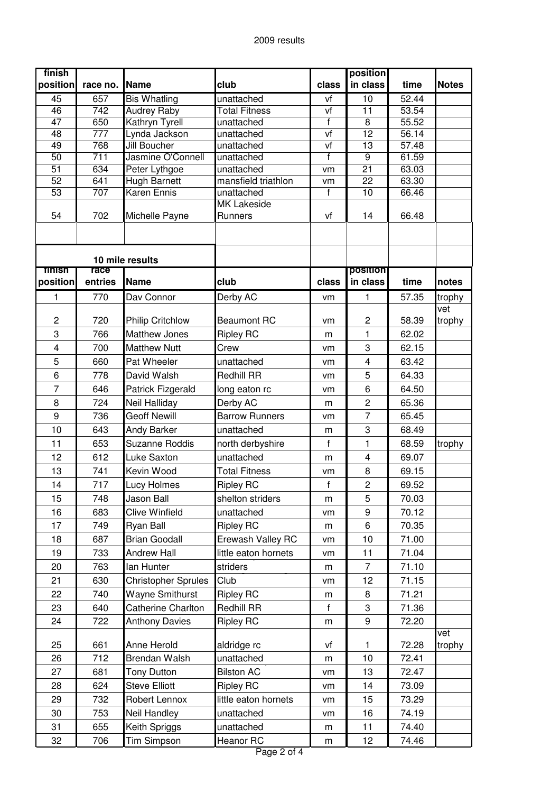| finish                             |                  |                                      |                                   |              | position                |                |               |
|------------------------------------|------------------|--------------------------------------|-----------------------------------|--------------|-------------------------|----------------|---------------|
| position                           | race no.         | Name                                 | club                              | class        | in class                | time           | <b>Notes</b>  |
| 45                                 | 657              | <b>Bis Whatling</b>                  | unattached                        | vf           | 10                      | 52.44          |               |
| 46                                 | $\overline{742}$ | <b>Audrey Raby</b>                   | <b>Total Fitness</b>              | vf           | 11                      | 53.54          |               |
| $\overline{47}$                    | 650              | Kathryn Tyrell                       | unattached                        | $\mathsf{f}$ | 8                       | 55.52          |               |
| $\overline{48}$                    | 777              | Lynda Jackson                        | unattached                        | vf           | $\overline{12}$         | 56.14          |               |
| 49                                 | 768              | Jill Boucher                         | unattached                        | vf           | 13                      | 57.48          |               |
| $\overline{50}$<br>$\overline{51}$ | 711              | Jasmine O'Connell                    | unattached                        | $\mathsf f$  | 9<br>$\overline{21}$    | 61.59<br>63.03 |               |
| 52                                 | 634<br>641       | Peter Lythgoe<br><b>Hugh Barnett</b> | unattached<br>mansfield triathlon | vm<br>vm     | 22                      | 63.30          |               |
| 53                                 | 707              | Karen Ennis                          | unattached                        | f            | 10                      | 66.46          |               |
|                                    |                  |                                      | <b>MK Lakeside</b>                |              |                         |                |               |
| 54                                 | 702              | Michelle Payne                       | Runners                           | vf           | 14                      | 66.48          |               |
|                                    |                  |                                      |                                   |              |                         |                |               |
|                                    |                  |                                      |                                   |              |                         |                |               |
|                                    |                  | 10 mile results                      |                                   |              |                         |                |               |
| Tinish                             | race             |                                      |                                   |              | position                |                |               |
| position                           | entries          | Name                                 | club                              | class        | in class                | time           | notes         |
| 1                                  | 770              | Dav Connor                           | Derby AC                          | vm           | 1                       | 57.35          | trophy        |
|                                    |                  |                                      |                                   |              |                         |                | vet           |
| $\overline{c}$                     | 720              | <b>Philip Critchlow</b>              | <b>Beaumont RC</b>                | vm           | $\mathbf 2$             | 58.39          | trophy        |
| 3                                  | 766              | <b>Matthew Jones</b>                 | <b>Ripley RC</b>                  | m            | 1                       | 62.02          |               |
| $\overline{\mathbf{4}}$            | 700              | <b>Matthew Nutt</b>                  | Crew                              | vm           | 3                       | 62.15          |               |
| 5                                  | 660              | Pat Wheeler                          | unattached                        | vm           | $\overline{\mathbf{4}}$ | 63.42          |               |
| 6                                  | 778              | David Walsh                          | <b>Redhill RR</b>                 | vm           | 5                       | 64.33          |               |
| $\overline{7}$                     | 646              | Patrick Fizgerald                    | long eaton rc                     | vm           | 6                       | 64.50          |               |
| 8                                  | 724              | Neil Halliday                        | Derby AC                          | m            | $\overline{c}$          | 65.36          |               |
| 9                                  | 736              | <b>Geoff Newill</b>                  | <b>Barrow Runners</b>             | vm           | $\overline{7}$          | 65.45          |               |
| 10                                 | 643              | Andy Barker                          | unattached                        | m            | 3                       | 68.49          |               |
| 11                                 | 653              | <b>Suzanne Roddis</b>                | north derbyshire                  | $\mathsf{f}$ | 1                       | 68.59          | trophy        |
| 12                                 | 612              | Luke Saxton                          | unattached                        | m            | 4                       | 69.07          |               |
| 13                                 | 741              | Kevin Wood                           | <b>Total Fitness</b>              | vm           | 8                       | 69.15          |               |
| 14                                 | 717              | Lucy Holmes                          | <b>Ripley RC</b>                  | $\mathsf{f}$ | $\overline{c}$          | 69.52          |               |
| 15                                 | 748              | Jason Ball                           | shelton striders                  | m            | 5                       | 70.03          |               |
| 16                                 | 683              | <b>Clive Winfield</b>                | unattached                        |              | $\boldsymbol{9}$        | 70.12          |               |
| 17                                 |                  |                                      |                                   | vm           |                         |                |               |
| 18                                 | 749<br>687       | Ryan Ball<br><b>Brian Goodall</b>    | <b>Ripley RC</b>                  | m            | 6<br>10                 | 70.35<br>71.00 |               |
|                                    |                  |                                      | Erewash Valley RC                 | vm           |                         |                |               |
| 19                                 | 733              | <b>Andrew Hall</b>                   | little eaton hornets              | vm           | 11                      | 71.04          |               |
| 20                                 | 763              | lan Hunter                           | striders                          | m            | $\overline{7}$          | 71.10          |               |
| 21                                 | 630              | <b>Christopher Sprules</b>           | Club                              | vm           | 12                      | 71.15          |               |
| 22                                 | 740              | Wayne Smithurst                      | <b>Ripley RC</b>                  | m            | 8                       | 71.21          |               |
| 23                                 | 640              | <b>Catherine Charlton</b>            | Redhill RR                        | $\mathbf f$  | 3                       | 71.36          |               |
| 24                                 | 722              | <b>Anthony Davies</b>                | <b>Ripley RC</b>                  | m            | 9                       | 72.20          |               |
| 25                                 | 661              | Anne Herold                          |                                   |              | 1                       | 72.28          | vet<br>trophy |
| 26                                 | 712              |                                      | aldridge rc                       | vf           |                         |                |               |
| 27                                 |                  | Brendan Walsh                        | unattached                        | m            | 10                      | 72.41          |               |
|                                    | 681              | <b>Tony Dutton</b>                   | <b>Bilston AC</b>                 | vm           | 13                      | 72.47          |               |
| 28                                 | 624              | <b>Steve Elliott</b>                 | <b>Ripley RC</b>                  | vm           | 14                      | 73.09          |               |
| 29                                 | 732              | Robert Lennox                        | little eaton hornets              | vm           | 15                      | 73.29          |               |
| 30                                 | 753              | Neil Handley                         | unattached                        | vm           | 16                      | 74.19          |               |
| 31                                 | 655              | Keith Spriggs                        | unattached                        | m            | 11                      | 74.40          |               |
| 32                                 | 706              | Tim Simpson                          | Heanor RC                         | m            | 12                      | 74.46          |               |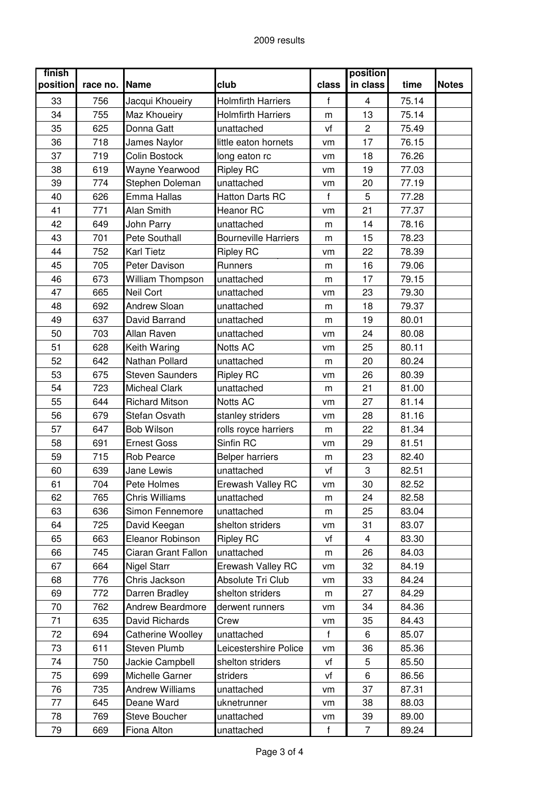| finish<br>position | race no. | Name                   | club                        | class        | position<br>in class    | time  | <b>Notes</b> |
|--------------------|----------|------------------------|-----------------------------|--------------|-------------------------|-------|--------------|
| 33                 | 756      | Jacqui Khoueiry        | <b>Holmfirth Harriers</b>   | f            | $\overline{\mathbf{4}}$ | 75.14 |              |
| 34                 | 755      | Maz Khoueiry           | <b>Holmfirth Harriers</b>   | m            | 13                      | 75.14 |              |
| 35                 | 625      | Donna Gatt             | unattached                  | vf           | $\overline{c}$          | 75.49 |              |
| 36                 | 718      | James Naylor           | little eaton hornets        | vm           | 17                      | 76.15 |              |
| 37                 | 719      | Colin Bostock          | long eaton rc               | vm           | 18                      | 76.26 |              |
| 38                 | 619      | Wayne Yearwood         | <b>Ripley RC</b>            | vm           | 19                      | 77.03 |              |
| 39                 | 774      | Stephen Doleman        | unattached                  | vm           | 20                      | 77.19 |              |
| 40                 | 626      | Emma Hallas            | <b>Hatton Darts RC</b>      | f            | 5                       | 77.28 |              |
| 41                 | 771      | <b>Alan Smith</b>      | Heanor RC                   | vm           | 21                      | 77.37 |              |
| 42                 | 649      | John Parry             | unattached                  | m            | 14                      | 78.16 |              |
| 43                 | 701      | Pete Southall          | <b>Bourneville Harriers</b> | m            | 15                      | 78.23 |              |
| 44                 | 752      | <b>Karl Tietz</b>      | <b>Ripley RC</b>            | vm           | 22                      | 78.39 |              |
| 45                 | 705      | Peter Davison          | <b>Runners</b>              | m            | 16                      | 79.06 |              |
| 46                 | 673      | William Thompson       | unattached                  | m            | 17                      | 79.15 |              |
| 47                 | 665      | Neil Cort              | unattached                  | vm           | 23                      | 79.30 |              |
| 48                 | 692      | <b>Andrew Sloan</b>    | unattached                  | m            | 18                      | 79.37 |              |
| 49                 | 637      | David Barrand          | unattached                  | m            | 19                      | 80.01 |              |
| 50                 | 703      | Allan Raven            | unattached                  | vm           | 24                      | 80.08 |              |
| 51                 | 628      | Keith Waring           | Notts AC                    | vm           | 25                      | 80.11 |              |
| 52                 | 642      | Nathan Pollard         | unattached                  | m            | 20                      | 80.24 |              |
| 53                 | 675      | <b>Steven Saunders</b> | <b>Ripley RC</b>            | vm           | 26                      | 80.39 |              |
| 54                 | 723      | <b>Micheal Clark</b>   | unattached                  | m            | 21                      | 81.00 |              |
| 55                 | 644      | <b>Richard Mitson</b>  | Notts AC                    | vm           | 27                      | 81.14 |              |
| 56                 | 679      | Stefan Osvath          | stanley striders            | vm           | 28                      | 81.16 |              |
| 57                 | 647      | Bob Wilson             | rolls royce harriers        | m            | 22                      | 81.34 |              |
| 58                 | 691      | <b>Ernest Goss</b>     | Sinfin RC                   | vm           | 29                      | 81.51 |              |
| 59                 | 715      | Rob Pearce             | <b>Belper harriers</b>      | m            | 23                      | 82.40 |              |
| 60                 | 639      | Jane Lewis             | unattached                  | vf           | 3                       | 82.51 |              |
| 61                 | 704      | Pete Holmes            | Erewash Valley RC           | vm           | 30                      | 82.52 |              |
| 62                 | 765      | Chris Williams         | unattached                  | m            | 24                      | 82.58 |              |
| 63                 | 636      | Simon Fennemore        | unattached                  | m            | 25                      | 83.04 |              |
| 64                 | 725      | David Keegan           | shelton striders            | vm           | 31                      | 83.07 |              |
| 65                 | 663      | Eleanor Robinson       | <b>Ripley RC</b>            | vf           | $\overline{\mathbf{4}}$ | 83.30 |              |
| 66                 | 745      | Ciaran Grant Fallon    | unattached                  | m            | 26                      | 84.03 |              |
| 67                 | 664      | <b>Nigel Starr</b>     | Erewash Valley RC           | vm           | 32                      | 84.19 |              |
| 68                 | 776      | Chris Jackson          | Absolute Tri Club           | vm           | 33                      | 84.24 |              |
| 69                 | 772      | Darren Bradley         | shelton striders            | m            | 27                      | 84.29 |              |
| 70                 | 762      | Andrew Beardmore       | derwent runners             | vm           | 34                      | 84.36 |              |
| 71                 | 635      | David Richards         | Crew                        | vm           | 35                      | 84.43 |              |
| 72                 | 694      | Catherine Woolley      | unattached                  | f            | 6                       | 85.07 |              |
| 73                 | 611      | <b>Steven Plumb</b>    | Leicestershire Police       | vm           | 36                      | 85.36 |              |
| 74                 | 750      | Jackie Campbell        | shelton striders            | vf           | 5                       | 85.50 |              |
| 75                 | 699      | Michelle Garner        | striders                    | vf           | 6                       | 86.56 |              |
| 76                 | 735      | <b>Andrew Williams</b> | unattached                  | vm           | 37                      | 87.31 |              |
| 77                 | 645      | Deane Ward             | uknetrunner                 | vm           | 38                      | 88.03 |              |
| 78                 | 769      | <b>Steve Boucher</b>   | unattached                  | vm           | 39                      | 89.00 |              |
| 79                 | 669      | Fiona Alton            | unattached                  | $\mathsf{f}$ | $\overline{7}$          | 89.24 |              |